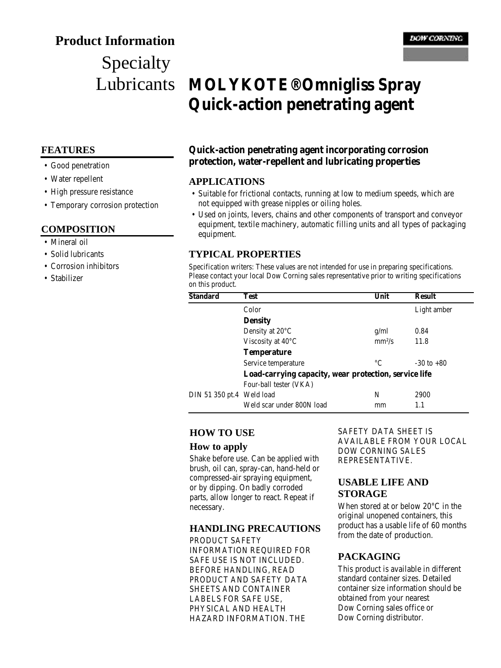## **Product Information**

# Specialty Lubricants

#### **FEATURES**

- Good penetration
- Water repellent
- High pressure resistance
- Temporary corrosion protection

#### **COMPOSITION**

- Mineral oil
- Solid lubricants
- Corrosion inhibitors
- Stabilizer

## **MOLYKOTE® Omnigliss Spray Quick-action penetrating agent**

## **Quick-action penetrating agent incorporating corrosion protection, water-repellent and lubricating properties**

#### **APPLICATIONS**

- Suitable for frictional contacts, running at low to medium speeds, which are not equipped with grease nipples or oiling holes.
- Used on joints, levers, chains and other components of transport and conveyor equipment, textile machinery, automatic filling units and all types of packaging equipment.

#### **TYPICAL PROPERTIES**

Specification writers: These values are not intended for use in preparing specifications. Please contact your local Dow Corning sales representative prior to writing specifications on this product.

| <b>Standard</b>           | Test                                                  | Unit     | <b>Result</b>  |
|---------------------------|-------------------------------------------------------|----------|----------------|
|                           | Color                                                 |          | Light amber    |
|                           | <b>Density</b>                                        |          |                |
|                           | Density at $20^{\circ}$ C                             | g/ml     | 0.84           |
|                           | Viscosity at $40^{\circ}$ C                           | $mm^2/s$ | 11.8           |
|                           | <b>Temperature</b>                                    |          |                |
|                           | Service temperature                                   | °C       | $-30$ to $+80$ |
|                           | Load-carrying capacity, wear protection, service life |          |                |
|                           | Four-ball tester (VKA)                                |          |                |
| DIN 51 350 pt.4 Weld load |                                                       | N        | 2900           |
|                           | Weld scar under 800N load                             | mm       | 1.1            |
|                           |                                                       |          |                |

## **HOW TO USE**

#### **How to apply**

Shake before use. Can be applied with brush, oil can, spray-can, hand-held or compressed-air spraying equipment, or by dipping. On badly corroded parts, allow longer to react. Repeat if necessary.

#### **HANDLING PRECAUTIONS**

PRODUCT SAFETY INFORMATION REQUIRED FOR SAFE USE IS NOT INCLUDED. BEFORE HANDLING, READ PRODUCT AND SAFETY DATA SHEETS AND CONTAINER LABELS FOR SAFE USE, PHYSICAL AND HEALTH HAZARD INFORMATION. THE

SAFETY DATA SHEET IS AVAILABLE FROM YOUR LOCAL DOW CORNING SALES REPRESENTATIVE.

#### **USABLE LIFE AND STORAGE**

When stored at or below 20°C in the original unopened containers, this product has a usable life of 60 months from the date of production.

## **PACKAGING**

This product is available in different standard container sizes. Detailed container size information should be obtained from your nearest Dow Corning sales office or Dow Corning distributor.